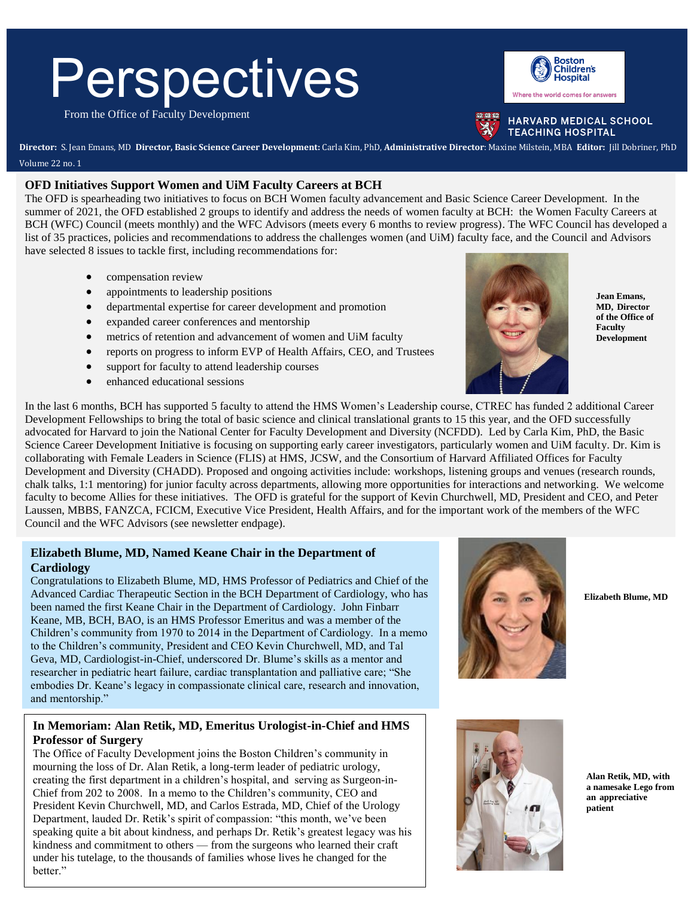# **Perspectives**

From the Office of Faculty Development



HARVARD MEDICAL SCHOOL **TEACHING HOSPITAL** 

**Director:** S. Jean Emans, MD **Director, Basic Science Career Development:** Carla Kim, PhD, **Administrative Director**: Maxine Milstein, MBA **Editor:** Jill Dobriner, PhD Volume 22 no. 1

#### **OFD Initiatives Support Women and UiM Faculty Careers at BCH**

The OFD is spearheading two initiatives to focus on BCH Women faculty advancement and Basic Science Career Development. In the summer of 2021, the OFD established 2 groups to identify and address the needs of women faculty at BCH: the Women Faculty Careers at BCH (WFC) Council (meets monthly) and the WFC Advisors (meets every 6 months to review progress). The WFC Council has developed a list of 35 practices, policies and recommendations to address the challenges women (and UiM) faculty face, and the Council and Advisors have selected 8 issues to tackle first, including recommendations for:

- compensation review
- appointments to leadership positions
- departmental expertise for career development and promotion
- expanded career conferences and mentorship
- metrics of retention and advancement of women and UiM faculty
- reports on progress to inform EVP of Health Affairs, CEO, and Trustees
- support for faculty to attend leadership courses
- enhanced educational sessions



**Jean Emans, MD, Director of the Office of Faculty Development**

In the last 6 months, BCH has supported 5 faculty to attend the HMS Women's Leadership course, CTREC has funded 2 additional Career Development Fellowships to bring the total of basic science and clinical translational grants to 15 this year, and the OFD successfully advocated for Harvard to join the National Center for Faculty Development and Diversity (NCFDD). Led by Carla Kim, PhD, the Basic Science Career Development Initiative is focusing on supporting early career investigators, particularly women and UiM faculty. Dr. Kim is collaborating with Female Leaders in Science (FLIS) at HMS, JCSW, and the Consortium of Harvard Affiliated Offices for Faculty Development and Diversity (CHADD). Proposed and ongoing activities include: workshops, listening groups and venues (research rounds, chalk talks, 1:1 mentoring) for junior faculty across departments, allowing more opportunities for interactions and networking. We welcome faculty to become Allies for these initiatives. The OFD is grateful for the support of Kevin Churchwell, MD, President and CEO, and Peter Laussen, MBBS, FANZCA, FCICM, Executive Vice President, Health Affairs, and for the important work of the members of the WFC Council and the WFC Advisors (see newsletter endpage).

#### **Elizabeth Blume, MD, Named Keane Chair in the Department of Cardiology**

Congratulations to Elizabeth Blume, MD, HMS Professor of Pediatrics and Chief of the Advanced Cardiac Therapeutic Section in the BCH Department of Cardiology, who has been named the first Keane Chair in the Department of Cardiology. John Finbarr Keane, MB, BCH, BAO, is an HMS Professor Emeritus and was a member of the Children's community from 1970 to 2014 in the Department of Cardiology. In a memo to the Children's community, President and CEO Kevin Churchwell, MD, and Tal Geva, MD, Cardiologist-in-Chief, underscored Dr. Blume's skills as a mentor and researcher in pediatric heart failure, cardiac transplantation and palliative care; "She embodies Dr. Keane's legacy in compassionate clinical care, research and innovation, and mentorship."

# **In Memoriam: Alan Retik, MD, Emeritus Urologist-in-Chief and HMS Professor of Surgery**

The Office of Faculty Development joins the Boston Children's community in mourning the loss of Dr. Alan Retik, a long-term leader of pediatric urology, creating the first department in a children's hospital, and serving as Surgeon-in-Chief from 202 to 2008. In a memo to the Children's community, CEO and President Kevin Churchwell, MD, and Carlos Estrada, MD, Chief of the Urology Department, lauded Dr. Retik's spirit of compassion: "this month, we've been speaking quite a bit about kindness, and perhaps Dr. Retik's greatest legacy was his kindness and commitment to others — from the surgeons who learned their craft under his tutelage, to the thousands of families whose lives he changed for the better."



**Elizabeth Blume, MD**



**Alan Retik, MD, with a namesake Lego from an appreciative patient**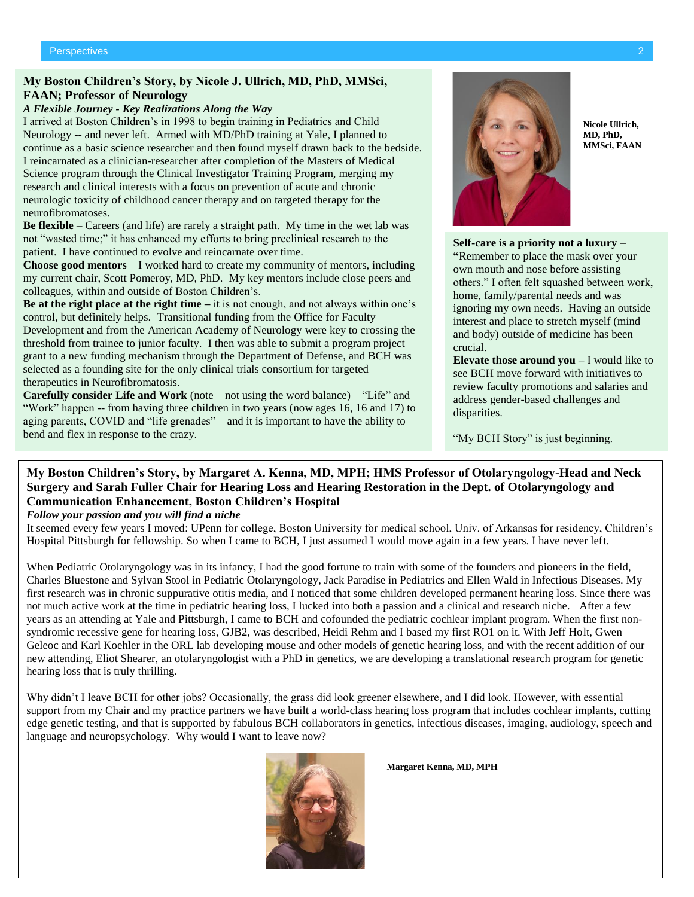#### **My Boston Children's Story, by Nicole J. Ullrich, MD, PhD, MMSci, FAAN; Professor of Neurology**

#### *A Flexible Journey - Key Realizations Along the Way*

I arrived at Boston Children's in 1998 to begin training in Pediatrics and Child Neurology -- and never left. Armed with MD/PhD training at Yale, I planned to continue as a basic science researcher and then found myself drawn back to the bedside. I reincarnated as a clinician-researcher after completion of the Masters of Medical Science program through the Clinical Investigator Training Program, merging my research and clinical interests with a focus on prevention of acute and chronic neurologic toxicity of childhood cancer therapy and on targeted therapy for the neurofibromatoses.

**Be flexible** – Careers (and life) are rarely a straight path. My time in the wet lab was not "wasted time;" it has enhanced my efforts to bring preclinical research to the patient. I have continued to evolve and reincarnate over time.

**Choose good mentors** – I worked hard to create my community of mentors, including my current chair, Scott Pomeroy, MD, PhD. My key mentors include close peers and colleagues, within and outside of Boston Children's.

**Be at the right place at the right time –** it is not enough, and not always within one's control, but definitely helps. Transitional funding from the Office for Faculty Development and from the American Academy of Neurology were key to crossing the threshold from trainee to junior faculty. I then was able to submit a program project grant to a new funding mechanism through the Department of Defense, and BCH was selected as a founding site for the only clinical trials consortium for targeted therapeutics in Neurofibromatosis.

**Carefully consider Life and Work** (note – not using the word balance) – "Life" and "Work" happen -- from having three children in two years (now ages 16, 16 and 17) to aging parents, COVID and "life grenades" – and it is important to have the ability to bend and flex in response to the crazy.



**Nicole Ullrich, MD, PhD, MMSci, FAAN**

**Self-care is a priority not a luxury** – **"**Remember to place the mask over your own mouth and nose before assisting others." I often felt squashed between work, home, family/parental needs and was ignoring my own needs. Having an outside interest and place to stretch myself (mind and body) outside of medicine has been crucial.

**Elevate those around you –** I would like to see BCH move forward with initiatives to review faculty promotions and salaries and address gender-based challenges and disparities.

"My BCH Story" is just beginning.

# **My Boston Children's Story, by Margaret A. Kenna, MD, MPH; HMS Professor of Otolaryngology-Head and Neck Surgery and Sarah Fuller Chair for Hearing Loss and Hearing Restoration in the Dept. of Otolaryngology and Communication Enhancement, Boston Children's Hospital**

#### *Follow your passion and you will find a niche*

It seemed every few years I moved: UPenn for college, Boston University for medical school, Univ. of Arkansas for residency, Children's Hospital Pittsburgh for fellowship. So when I came to BCH, I just assumed I would move again in a few years. I have never left.

When Pediatric Otolaryngology was in its infancy, I had the good fortune to train with some of the founders and pioneers in the field, Charles Bluestone and Sylvan Stool in Pediatric Otolaryngology, Jack Paradise in Pediatrics and Ellen Wald in Infectious Diseases. My first research was in chronic suppurative otitis media, and I noticed that some children developed permanent hearing loss. Since there was not much active work at the time in pediatric hearing loss, I lucked into both a passion and a clinical and research niche. After a few years as an attending at Yale and Pittsburgh, I came to BCH and cofounded the pediatric cochlear implant program. When the first nonsyndromic recessive gene for hearing loss, GJB2, was described, Heidi Rehm and I based my first RO1 on it. With Jeff Holt, Gwen Geleoc and Karl Koehler in the ORL lab developing mouse and other models of genetic hearing loss, and with the recent addition of our new attending, Eliot Shearer, an otolaryngologist with a PhD in genetics, we are developing a translational research program for genetic hearing loss that is truly thrilling.

Why didn't I leave BCH for other jobs? Occasionally, the grass did look greener elsewhere, and I did look. However, with essential support from my Chair and my practice partners we have built a world-class hearing loss program that includes cochlear implants, cutting edge genetic testing, and that is supported by fabulous BCH collaborators in genetics, infectious diseases, imaging, audiology, speech and language and neuropsychology. Why would I want to leave now?



**Margaret Kenna, MD, MPH**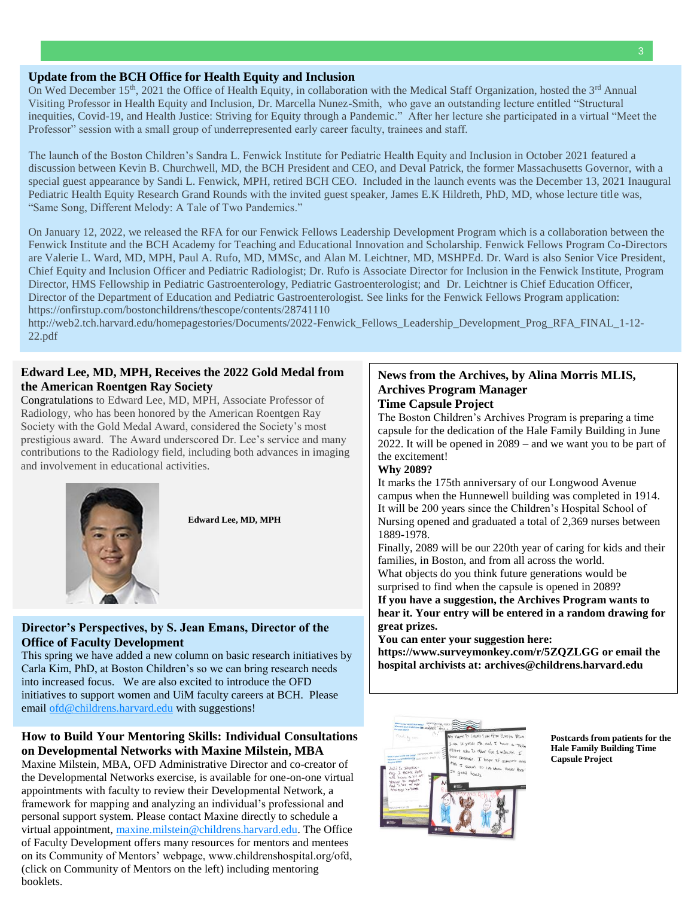#### **Update from the BCH Office for Health Equity and Inclusion**

On Wed December 15<sup>th</sup>, 2021 the Office of Health Equity, in collaboration with the Medical Staff Organization, hosted the 3<sup>rd</sup> Annual Visiting Professor in Health Equity and Inclusion, Dr. Marcella Nunez-Smith, who gave an outstanding lecture entitled "Structural inequities, Covid-19, and Health Justice: Striving for Equity through a Pandemic." After her lecture she participated in a virtual "Meet the Professor" session with a small group of underrepresented early career faculty, trainees and staff.

The launch of the Boston Children's Sandra L. Fenwick Institute for Pediatric Health Equity and Inclusion in October 2021 featured a discussion between Kevin B. Churchwell, MD, the BCH President and CEO, and Deval Patrick, the former Massachusetts Governor, with a special guest appearance by Sandi L. Fenwick, MPH, retired BCH CEO. Included in the launch events was the December 13, 2021 Inaugural Pediatric Health Equity Research Grand Rounds with the invited guest speaker, James E.K Hildreth, PhD, MD, whose lecture title was, "Same Song, Different Melody: A Tale of Two Pandemics."

On January 12, 2022, we released the RFA for our Fenwick Fellows Leadership Development Program which is a collaboration between the Fenwick Institute and the BCH Academy for Teaching and Educational Innovation and Scholarship. Fenwick Fellows Program Co-Directors are Valerie L. Ward, MD, MPH, Paul A. Rufo, MD, MMSc, and Alan M. Leichtner, MD, MSHPEd. Dr. Ward is also Senior Vice President, Chief Equity and Inclusion Officer and Pediatric Radiologist; Dr. Rufo is Associate Director for Inclusion in the Fenwick Institute, Program Director, HMS Fellowship in Pediatric Gastroenterology, Pediatric Gastroenterologist; and Dr. Leichtner is Chief Education Officer, Director of the Department of Education and Pediatric Gastroenterologist. See links for the Fenwick Fellows Program application: <https://onfirstup.com/bostonchildrens/thescope/contents/28741110>

[http://web2.tch.harvard.edu/homepagestories/Documents/2022-Fenwick\\_Fellows\\_Leadership\\_Development\\_Prog\\_RFA\\_FINAL\\_1-12-](http://web2.tch.harvard.edu/homepagestories/Documents/2022-Fenwick_Fellows_Leadership_Development_Prog_RFA_FINAL_1-12-22.pdf) [22.pdf](http://web2.tch.harvard.edu/homepagestories/Documents/2022-Fenwick_Fellows_Leadership_Development_Prog_RFA_FINAL_1-12-22.pdf)

#### **Edward Lee, MD, MPH, Receives the 2022 Gold Medal from the American Roentgen Ray Society**

Congratulations to Edward Lee, MD, MPH, Associate Professor of Radiology, who has been honored by the American Roentgen Ray Society with the Gold Medal Award, considered the Society's most prestigious award. The Award underscored Dr. Lee's service and many contributions to the Radiology field, including both advances in imaging and involvement in educational activities.





#### **Director's Perspectives, by S. Jean Emans, Director of the Office of Faculty Development**

This spring we have added a new column on basic research initiatives by Carla Kim, PhD, at Boston Children's so we can bring research needs into increased focus. We are also excited to introduce the OFD initiatives to support women and UiM faculty careers at BCH. Please emai[l ofd@childrens.harvard.edu](mailto:ofd@childrens.harvard.edu) with suggestions!

# **How to Build Your Mentoring Skills: Individual Consultations on Developmental Networks with Maxine Milstein, MBA**

Maxine Milstein, MBA, OFD Administrative Director and co-creator of the Developmental Networks exercise, is available for one-on-one virtual appointments with faculty to review their Developmental Network, a framework for mapping and analyzing an individual's professional and personal support system. Please contact Maxine directly to schedule a virtual appointment, [maxine.milstein@childrens.harvard.edu.](mailto:maxine.milstein@childrens.harvard.edu) The Office of Faculty Development offers many resources for mentors and mentees on its Community of Mentors' webpage, www.childrenshospital.org/ofd, (click on Community of Mentors on the left) including mentoring booklets.

#### **News from the Archives, by Alina Morris MLIS, Archives Program Manager Time Capsule Project**

The Boston Children's Archives Program is preparing a time capsule for the dedication of the Hale Family Building in June 2022. It will be opened in 2089 – and we want you to be part of the excitement!

#### **Why 2089?**

It marks the 175th anniversary of our Longwood Avenue campus when the Hunnewell building was completed in 1914. It will be 200 years since the Children's Hospital School of Nursing opened and graduated a total of 2,369 nurses between 1889-1978.

Finally, 2089 will be our 220th year of caring for kids and their families, in Boston, and from all across the world. What objects do you think future generations would be

surprised to find when the capsule is opened in 2089?

**If you have a suggestion, the Archives Program wants to hear it. Your entry will be entered in a random drawing for great prizes.**

**You can enter your suggestion here:** 

**<https://www.surveymonkey.com/r/5ZQZLGG> or email the hospital archivists at[: archives@childrens.harvard.edu](mailto:archives@childrens.harvard.edu)**



**Postcards from patients for the Hale Family Building Time Capsule Project**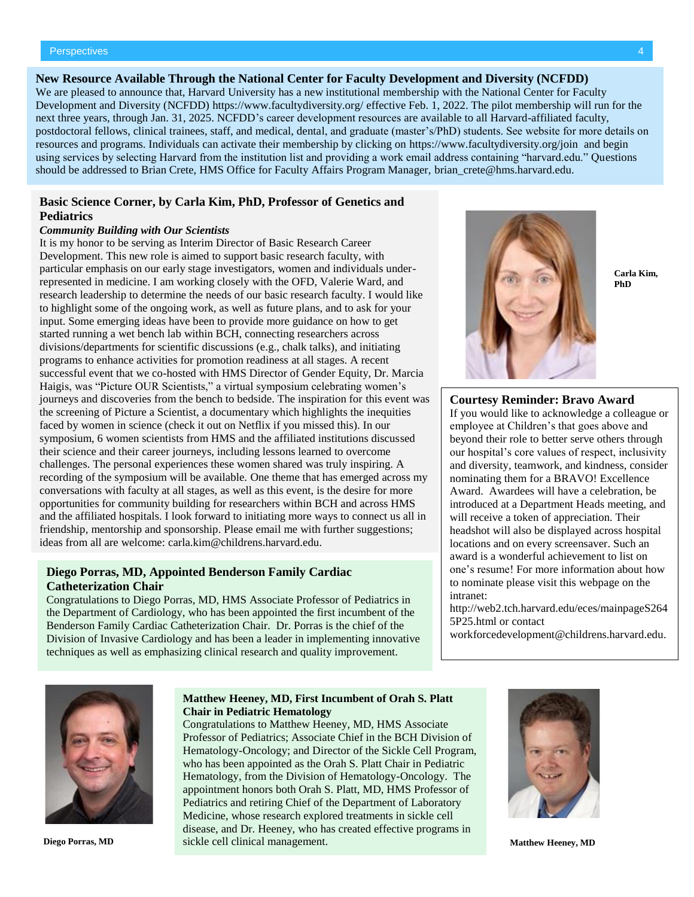#### **New Resource Available Through the National Center for Faculty Development and Diversity (NCFDD)**

We are pleased to announce that, Harvard University has a new institutional membership with the National Center for Faculty Development and Diversity (NCFDD)<https://www.facultydiversity.org/> effective Feb. 1, 2022. The pilot membership will run for the next three years, through Jan. 31, 2025. NCFDD's career development resources are available to all Harvard-affiliated faculty, postdoctoral fellows, clinical trainees, staff, and medical, dental, and graduate (master's/PhD) students. See website for more details on resources and programs. Individuals can activate their membership by clicking on<https://www.facultydiversity.org/join> and begin using services by selecting Harvard from the institution list and providing a work email address containing "harvard.edu." Questions should be addressed to Brian Crete, HMS Office for Faculty Affairs Program Manager, [brian\\_crete@hms.harvard.edu.](https://urldefense.com/v3/__http:/links.mkt3779.com/els/v2/zW*eT2D7ArcW/c1BrV2UxYm5EVFc4ZW03ZGxhdjJOaU4yVWFNMkVuanQ1U2pOVEdNanRQMEx4em1zeFUzaUpBQjFXVWVkamE1ck0vU2lxQjdsajFET2h6bHA2elJ3OEt3R0dpWVdTVnFNRU9RdDF0aXBlZUU9S0/__;fg!!NZvER7FxgEiBAiR_!4vm5UtjP0pSHerF9LLJZ5PyuUB7HkunTE_X3RLajH5p6kLGl5jITHTDqtkzS5R5sisUHLJJpeu0$)

#### **Basic Science Corner, by Carla Kim, PhD, Professor of Genetics and Pediatrics**

#### *Community Building with Our Scientists*

It is my honor to be serving as Interim Director of Basic Research Career Development. This new role is aimed to support basic research faculty, with particular emphasis on our early stage investigators, women and individuals underrepresented in medicine. I am working closely with the OFD, Valerie Ward, and research leadership to determine the needs of our basic research faculty. I would like to highlight some of the ongoing work, as well as future plans, and to ask for your input. Some emerging ideas have been to provide more guidance on how to get started running a wet bench lab within BCH, connecting researchers across divisions/departments for scientific discussions (e.g., chalk talks), and initiating programs to enhance activities for promotion readiness at all stages. A recent successful event that we co-hosted with HMS Director of Gender Equity, Dr. Marcia Haigis, was "Picture OUR Scientists," a virtual symposium celebrating women's journeys and discoveries from the bench to bedside. The inspiration for this event was the screening of Picture a Scientist, a documentary which highlights the inequities faced by women in science (check it out on Netflix if you missed this). In our symposium, 6 women scientists from HMS and the affiliated institutions discussed their science and their career journeys, including lessons learned to overcome challenges. The personal experiences these women shared was truly inspiring. A recording of the symposium will be available. One theme that has emerged across my conversations with faculty at all stages, as well as this event, is the desire for more opportunities for community building for researchers within BCH and across HMS and the affiliated hospitals. I look forward to initiating more ways to connect us all in friendship, mentorship and sponsorship. Please email me with further suggestions; ideas from all are welcome: [carla.kim@childrens.harvard.edu.](mailto:carla.kim@childrens.harvard.edu)

#### **Diego Porras, MD, Appointed Benderson Family Cardiac Catheterization Chair**

Congratulations to Diego Porras, MD, HMS Associate Professor of Pediatrics in the Department of Cardiology, who has been appointed the first incumbent of the Benderson Family Cardiac Catheterization Chair. Dr. Porras is the chief of the Division of Invasive Cardiology and has been a leader in implementing innovative techniques as well as emphasizing clinical research and quality improvement.



**Carla Kim, PhD**

#### **Courtesy Reminder: Bravo Award**

If you would like to acknowledge a colleague or employee at Children's that goes above and beyond their role to better serve others through our hospital's core values of respect, inclusivity and diversity, teamwork, and kindness, consider nominating them for a BRAVO! Excellence Award. Awardees will have a celebration, be introduced at a Department Heads meeting, and will receive a token of appreciation. Their headshot will also be displayed across hospital locations and on every screensaver. Such an award is a wonderful achievement to list on one's resume! For more information about how to nominate please visit this webpage on the intranet:

[http://web2.tch.harvard.edu/eces/mainpageS264](http://web2.tch.harvard.edu/eces/mainpageS2645P25.html) [5P25.html](http://web2.tch.harvard.edu/eces/mainpageS2645P25.html) or contact

[workforcedevelopment@childrens.harvard.edu.](mailto:workforcedevelopment@childrens.harvard.edu)



#### **Matthew Heeney, MD, First Incumbent of Orah S. Platt Chair in Pediatric Hematology**

Congratulations to Matthew Heeney, MD, HMS Associate Professor of Pediatrics; Associate Chief in the BCH Division of Hematology-Oncology; and Director of the Sickle Cell Program, who has been appointed as the Orah S. Platt Chair in Pediatric Hematology, from the Division of Hematology-Oncology. The appointment honors both Orah S. Platt, MD, HMS Professor of Pediatrics and retiring Chief of the Department of Laboratory Medicine, whose research explored treatments in sickle cell disease, and Dr. Heeney, who has created effective programs in **Diego Porras, MD Sickle cell clinical management.** The state of the management of the Matthew Heeney, MD